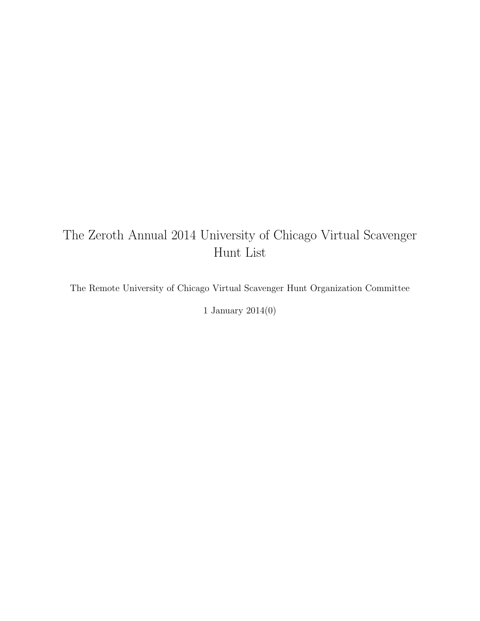# The Zeroth Annual 2014 University of Chicago Virtual Scavenger Hunt List

The Remote University of Chicago Virtual Scavenger Hunt Organization Committee

1 January 2014(0)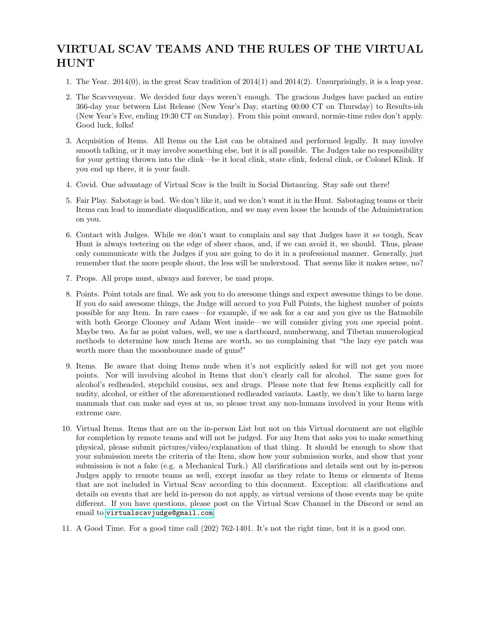# VIRTUAL SCAV TEAMS AND THE RULES OF THE VIRTUAL HUNT

- 1. The Year. 2014(0), in the great Scav tradition of 2014(1) and 2014(2). Unsurprisingly, it is a leap year.
- 2. The Scavvenyear. We decided four days weren't enough. The gracious Judges have packed an entire 366-day year between List Release (New Year's Day, starting 00:00 CT on Thursday) to Results-ish (New Year's Eve, ending 19:30 CT on Sunday). From this point onward, normie-time rules don't apply. Good luck, folks!
- 3. Acquisition of Items. All Items on the List can be obtained and performed legally. It may involve smooth talking, or it may involve something else, but it is all possible. The Judges take no responsibility for your getting thrown into the clink—be it local clink, state clink, federal clink, or Colonel Klink. If you end up there, it is your fault.
- 4. Covid. One advantage of Virtual Scav is the built in Social Distancing. Stay safe out there!
- 5. Fair Play. Sabotage is bad. We don't like it, and we don't want it in the Hunt. Sabotaging teams or their Items can lead to immediate disqualification, and we may even loose the hounds of the Administration on you.
- 6. Contact with Judges. While we don't want to complain and say that Judges have it so tough, Scav Hunt is always teetering on the edge of sheer chaos, and, if we can avoid it, we should. Thus, please only communicate with the Judges if you are going to do it in a professional manner. Generally, just remember that the more people shout, the less will be understood. That seems like it makes sense, no?
- 7. Props. All props must, always and forever, be mad props.
- 8. Points. Point totals are final. We ask you to do awesome things and expect awesome things to be done. If you do said awesome things, the Judge will accord to you Full Points, the highest number of points possible for any Item. In rare cases—for example, if we ask for a car and you give us the Batmobile with both George Clooney and Adam West inside—we will consider giving you one special point. Maybe two. As far as point values, well, we use a dartboard, numberwang, and Tibetan numerological methods to determine how much Items are worth, so no complaining that "the lazy eye patch was worth more than the moonbounce made of guns!"
- 9. Items. Be aware that doing Items nude when it's not explicitly asked for will not get you more points. Nor will involving alcohol in Items that don't clearly call for alcohol. The same goes for alcohol's redheaded, stepchild cousins, sex and drugs. Please note that few Items explicitly call for nudity, alcohol, or either of the aforementioned redheaded variants. Lastly, we don't like to harm large mammals that can make sad eyes at us, so please treat any non-humans involved in your Items with extreme care.
- 10. Virtual Items. Items that are on the in-person List but not on this Virtual document are not eligible for completion by remote teams and will not be judged. For any Item that asks you to make something physical, please submit pictures/video/explanation of that thing. It should be enough to show that your submission meets the criteria of the Item, show how your submission works, and show that your submission is not a fake (e.g. a Mechanical Turk.) All clarifications and details sent out by in-person Judges apply to remote teams as well, except insofar as they relate to Items or elements of Items that are not included in Virtual Scav according to this document. Exception: all clarifications and details on events that are held in-person do not apply, as virtual versions of those events may be quite different. If you have questions, please post on the Virtual Scav Channel in the Discord or send an email to <virtualscavjudge@gmail.com>.
- 11. A Good Time. For a good time call (202) 762-1401. It's not the right time, but it is a good one.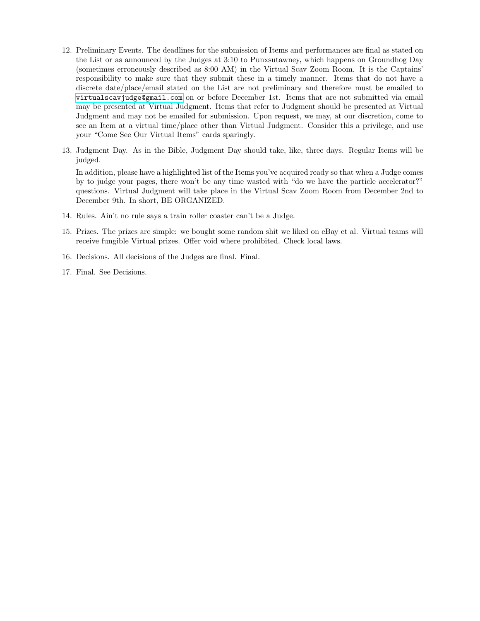- 12. Preliminary Events. The deadlines for the submission of Items and performances are final as stated on the List or as announced by the Judges at 3:10 to Punxsutawney, which happens on Groundhog Day (sometimes erroneously described as 8:00 AM) in the Virtual Scav Zoom Room. It is the Captains' responsibility to make sure that they submit these in a timely manner. Items that do not have a discrete date/place/email stated on the List are not preliminary and therefore must be emailed to <virtualscavjudge@gmail.com> on or before December 1st. Items that are not submitted via email may be presented at Virtual Judgment. Items that refer to Judgment should be presented at Virtual Judgment and may not be emailed for submission. Upon request, we may, at our discretion, come to see an Item at a virtual time/place other than Virtual Judgment. Consider this a privilege, and use your "Come See Our Virtual Items" cards sparingly.
- 13. Judgment Day. As in the Bible, Judgment Day should take, like, three days. Regular Items will be judged.

In addition, please have a highlighted list of the Items you've acquired ready so that when a Judge comes by to judge your pages, there won't be any time wasted with "do we have the particle accelerator?" questions. Virtual Judgment will take place in the Virtual Scav Zoom Room from December 2nd to December 9th. In short, BE ORGANIZED.

- 14. Rules. Ain't no rule says a train roller coaster can't be a Judge.
- 15. Prizes. The prizes are simple: we bought some random shit we liked on eBay et al. Virtual teams will receive fungible Virtual prizes. Offer void where prohibited. Check local laws.
- 16. Decisions. All decisions of the Judges are final. Final.
- 17. Final. See Decisions.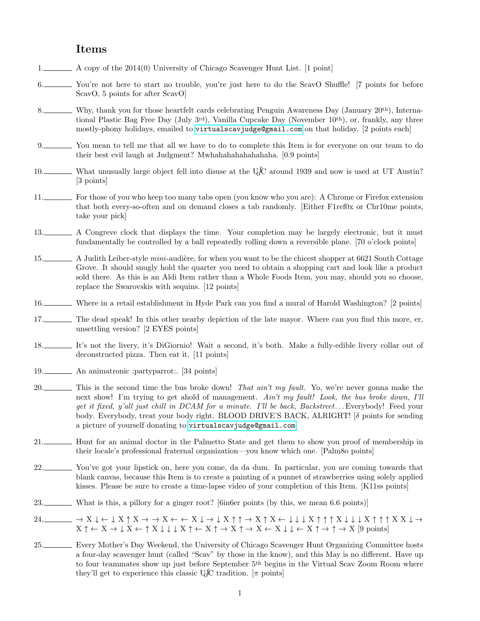## Items

- 1. A copy of the 2014(0) University of Chicago Scavenger Hunt List. [1 point]
- 6. You're not here to start no trouble, you're just here to do the ScavO Shuffle! [7 points for before ScavO, 5 points for after ScavO]
- 8. Why, thank you for those heartfelt cards celebrating Penguin Awareness Day (January 20<sup>th</sup>), International Plastic Bag Free Day (July  $3^{rd}$ ), Vanilla Cupcake Day (November 10<sup>th</sup>), or, frankly, any three mostly-phony holidays, emailed to <virtualscavjudge@gmail.com> on that holiday. [2 points each]
- 9. You mean to tell me that all we have to do to complete this Item is for everyone on our team to do their best evil laugh at Judgment? Mwhahahahahahahaha. [0.9 points]
- 10. What unusually large object fell into disuse at the UCC around 1939 and now is used at UT Austin? [3 points]
- 11. For those of you who keep too many tabs open (you know who you are): A Chrome or Firefox extension that both every-so-often and on demand closes a tab randomly. [Either F1ref0x or Chr10me points, take your pick]
- 13. A Congreve clock that displays the time. Your completion may be largely electronic, but it must fundamentally be controlled by a ball repeatedly rolling down a reversible plane. [70 o'clock points]
- 15. A Judith Leiber-style mini-audière, for when you want to be the chicest shopper at 6621 South Cottage Grove. It should snugly hold the quarter you need to obtain a shopping cart and look like a product sold there. As this is an Aldi Item rather than a Whole Foods Item, you may, should you so choose, replace the Swarovskis with sequins. [12 points]
- 16. Where in a retail establishment in Hyde Park can you find a mural of Harold Washington? [2 points]
- 17. The dead speak! In this other nearby depiction of the late mayor. Where can you find this more, er, unsettling version? [2 EYES points]
- 18. It's not the livery, it's DiGiornio! Wait a second, it's both. Make a fully-edible livery collar out of deconstructed pizza. Then eat it. [11 points]
- 19. An animatronic :partyparrot:. [34 points]
- 20. This is the second time the bus broke down! That ain't my fault. Yo, we're never gonna make the next show! I'm trying to get ahold of management. Ain't my fault! Look, the bus broke down, I'll get it fixed, y'all just chill in DCAM for a minute. I'll be back, Backstreet. . . Everybody! Feed your body. Everybody, treat your body right. BLOOD DRIVE'S BACK, ALRIGHT! [δ points for sending a picture of yourself donating to <virtualscavjudge@gmail.com>]
- 21. Hunt for an animal doctor in the Palmetto State and get them to show you proof of membership in their locale's professional fraternal organization—you know which one. [Palm8o points]
- 22. You've got your lipstick on, here you come, da da dum. In particular, you are coming towards that blank canvas, because this Item is to create a painting of a punnet of strawberries using solely applied kisses. Please be sure to create a time-lapse video of your completion of this Item. [K11ss points]
- 23. What is this, a pillory for a ginger root? [6in6er points (by this, we mean 6.6 points)]
- $24.$   $\begin{array}{c} \Delta 24. \quad \quad \ \ \, \longrightarrow X \downarrow \leftarrow \downarrow X \uparrow X \rightarrow X \leftarrow \leftarrow X \downarrow \rightarrow \downarrow X \uparrow \uparrow \rightarrow X \uparrow X \leftarrow \downarrow \downarrow X \uparrow \uparrow \uparrow X \downarrow \downarrow X \uparrow \uparrow \uparrow X \, X \downarrow \rightarrow \end{array}$  $X \uparrow \leftarrow X \rightarrow \downarrow X \leftarrow \uparrow X \downarrow \downarrow \downarrow X \uparrow \leftarrow X \uparrow \rightarrow X \uparrow \rightarrow X \leftarrow X \downarrow \downarrow \leftarrow X \uparrow \rightarrow \uparrow \rightarrow X$  [9 points]
- 25. Every Mother's Day Weekend, the University of Chicago Scavenger Hunt Organizing Committee hosts a four-day scavenger hunt (called "Scav" by those in the know), and this May is no different. Have up to four teammates show up just before September 5th begins in the Virtual Scav Zoom Room where they'll get to experience this classic U<sub>0</sub>fC tradition.  $[\pi$  points]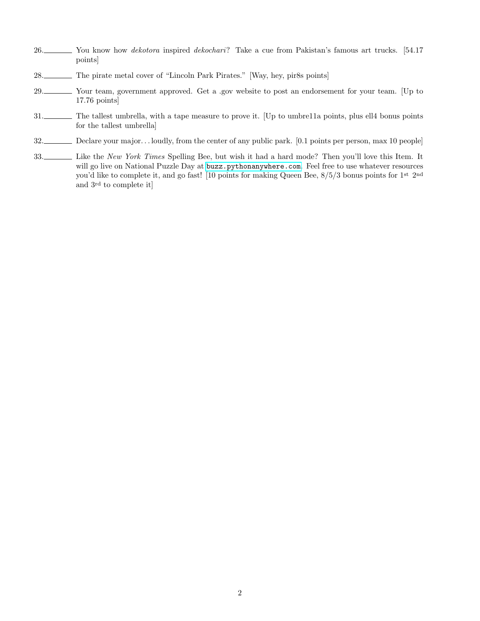- 26. You know how *dekotora* inspired *dekochari*? Take a cue from Pakistan's famous art trucks. [54.17] points]
- 28. The pirate metal cover of "Lincoln Park Pirates." [Way, hey, pir8s points]
- 29. Your team, government approved. Get a .gov website to post an endorsement for your team. [Up to 17.76 points]
- 31. The tallest umbrella, with a tape measure to prove it. [Up to umbre11a points, plus ell4 bonus points for the tallest umbrella]
- 32. Declare your major... loudly, from the center of any public park. [0.1 points per person, max 10 people]
- 33. Like the New York Times Spelling Bee, but wish it had a hard mode? Then you'll love this Item. It will go live on National Puzzle Day at <buzz.pythonanywhere.com>. Feel free to use whatever resources you'd like to complete it, and go fast! [10 points for making Queen Bee, 8/5/3 bonus points for 1st 2nd and 3rd to complete it]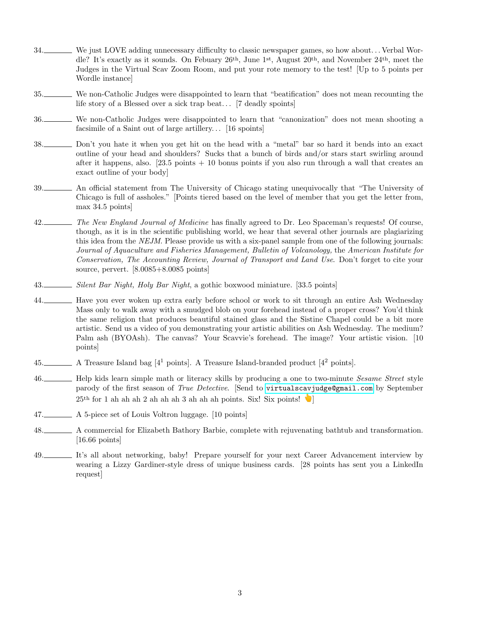- 34. We just LOVE adding unnecessary difficulty to classic newspaper games, so how about. . . Verbal Wordle? It's exactly as it sounds. On Febuary 26th, June 1st, August 20th, and November 24th, meet the Judges in the Virtual Scav Zoom Room, and put your rote memory to the test! [Up to 5 points per Wordle instance]
- 35. We non-Catholic Judges were disappointed to learn that "beatification" does not mean recounting the life story of a Blessed over a sick trap beat... [7 deadly spoints]
- 36. We non-Catholic Judges were disappointed to learn that "canonization" does not mean shooting a facsimile of a Saint out of large artillery... [16 spoints]
- 38. Don't you hate it when you get hit on the head with a "metal" bar so hard it bends into an exact outline of your head and shoulders? Sucks that a bunch of birds and/or stars start swirling around after it happens, also.  $[23.5 \text{ points} + 10 \text{ bonus points if you also run through a wall that creates an$ exact outline of your body]
- 39. An official statement from The University of Chicago stating unequivocally that "The University of Chicago is full of assholes." [Points tiered based on the level of member that you get the letter from, max 34.5 points]
- 42. The New England Journal of Medicine has finally agreed to Dr. Leo Spaceman's requests! Of course, though, as it is in the scientific publishing world, we hear that several other journals are plagiarizing this idea from the NEJM. Please provide us with a six-panel sample from one of the following journals: Journal of Aquaculture and Fisheries Management, Bulletin of Volcanology, the American Institute for Conservation, The Accounting Review, Journal of Transport and Land Use. Don't forget to cite your source, pervert. [8.0085+8.0085 points]
- 43. Silent Bar Night, Holy Bar Night, a gothic boxwood miniature. [33.5 points]

44. Have you ever woken up extra early before school or work to sit through an entire Ash Wednesday Mass only to walk away with a smudged blob on your forehead instead of a proper cross? You'd think the same religion that produces beautiful stained glass and the Sistine Chapel could be a bit more artistic. Send us a video of you demonstrating your artistic abilities on Ash Wednesday. The medium? Palm ash (BYOAsh). The canvas? Your Scavvie's forehead. The image? Your artistic vision. [10 points]

- 45. A Treasure Island bag  $[4^1 \text{ points}]$ . A Treasure Island-branded product  $[4^2 \text{ points}]$ .
- 46. Help kids learn simple math or literacy skills by producing a one to two-minute *Sesame Street* style parody of the first season of True Detective. [Send to <virtualscavjudge@gmail.com> by September  $25<sup>th</sup>$  for 1 ah ah ah 2 ah ah ah 3 ah ah ah points. Six! Six points!
- 47. A 5-piece set of Louis Voltron luggage. [10 points]
- 48. A commercial for Elizabeth Bathory Barbie, complete with rejuvenating bathtub and transformation. [16.66 points]
- 49. It's all about networking, baby! Prepare yourself for your next Career Advancement interview by wearing a Lizzy Gardiner-style dress of unique business cards. [28 points has sent you a LinkedIn request]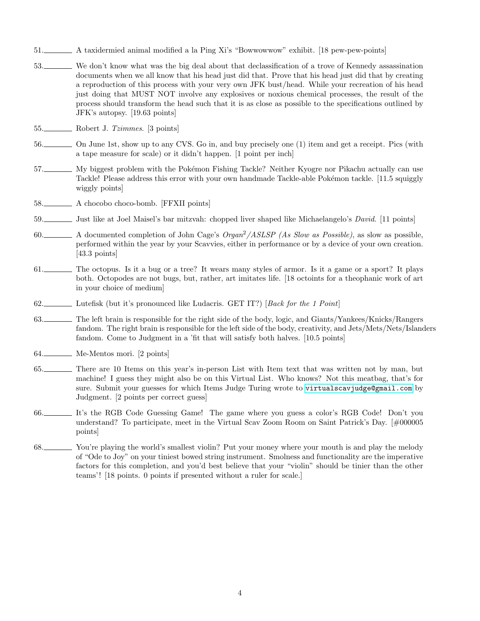- 51. A taxidermied animal modified a la Ping Xi's "Bowwowwow" exhibit. [18 pew-pew-points]
- 53. We don't know what was the big deal about that declassification of a trove of Kennedy assassination documents when we all know that his head just did that. Prove that his head just did that by creating a reproduction of this process with your very own JFK bust/head. While your recreation of his head just doing that MUST NOT involve any explosives or noxious chemical processes, the result of the process should transform the head such that it is as close as possible to the specifications outlined by JFK's autopsy. [19.63 points]
- 55. Robert J. Tzimmes. [3 points]
- 56. On June 1st, show up to any CVS. Go in, and buy precisely one (1) item and get a receipt. Pics (with a tape measure for scale) or it didn't happen. [1 point per inch]
- 57. My biggest problem with the Pokémon Fishing Tackle? Neither Kyogre nor Pikachu actually can use Tackle! Please address this error with your own handmade Tackle-able Pokémon tackle. [11.5 squiggly wiggly points]
- 58. A chocobo choco-bomb. [FFXII points]
- 59. Just like at Joel Maisel's bar mitzvah: chopped liver shaped like Michaelangelo's *David*. [11 points]
- 60. A documented completion of John Cage's Organ<sup>2</sup>/ASLSP (As Slow as Possible), as slow as possible, performed within the year by your Scavvies, either in performance or by a device of your own creation. [43.3 points]
- 61. The octopus. Is it a bug or a tree? It wears many styles of armor. Is it a game or a sport? It plays both. Octopodes are not bugs, but, rather, art imitates life. [18 octoints for a theophanic work of art in your choice of medium]
- 62. Lutefisk (but it's pronounced like Ludacris. GET IT?) [Back for the 1 Point]
- 63. The left brain is responsible for the right side of the body, logic, and Giants/Yankees/Knicks/Rangers fandom. The right brain is responsible for the left side of the body, creativity, and Jets/Mets/Nets/Islanders fandom. Come to Judgment in a 'fit that will satisfy both halves. [10.5 points]
- 64. Me-Mentos mori. [2 points]
- 65. There are 10 Items on this year's in-person List with Item text that was written not by man, but machine! I guess they might also be on this Virtual List. Who knows? Not this meatbag, that's for sure. Submit your guesses for which Items Judge Turing wrote to <virtualscavjudge@gmail.com> by Judgment. [2 points per correct guess]
- 66. It's the RGB Code Guessing Game! The game where you guess a color's RGB Code! Don't you understand? To participate, meet in the Virtual Scav Zoom Room on Saint Patrick's Day. [#000005 points]
- 68. You're playing the world's smallest violin? Put your money where your mouth is and play the melody of "Ode to Joy" on your tiniest bowed string instrument. Smolness and functionality are the imperative factors for this completion, and you'd best believe that your "violin" should be tinier than the other teams'! [18 points. 0 points if presented without a ruler for scale.]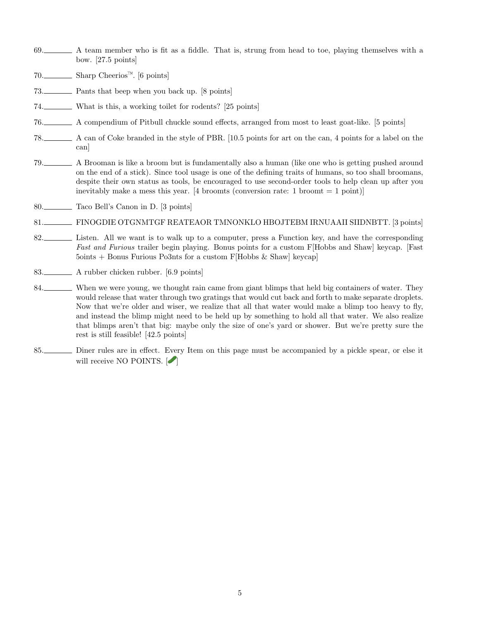- 69. A team member who is fit as a fiddle. That is, strung from head to toe, playing themselves with a bow. [27.5 points]
- 70. Sharp Cheerios<sup>™</sup>. [6 points]
- 73. Pants that beep when you back up. [8 points]
- 74. What is this, a working toilet for rodents? [25 points]
- 76. A compendium of Pitbull chuckle sound effects, arranged from most to least goat-like. [5 points]
- 78. A can of Coke branded in the style of PBR. [10.5 points for art on the can, 4 points for a label on the can]
- 79. A Brooman is like a broom but is fundamentally also a human (like one who is getting pushed around on the end of a stick). Since tool usage is one of the defining traits of humans, so too shall broomans, despite their own status as tools, be encouraged to use second-order tools to help clean up after you inevitably make a mess this year. [4 broomts (conversion rate: 1 broomt  $= 1$  point)]
- 80. Taco Bell's Canon in D. [3 points]
- 81. FINOGDIE OTGNMTGF REATEAOR TMNONKLO HBOJTEBM IRNUAAII SIIDNBTT. [3 points]
- 82. Listen. All we want is to walk up to a computer, press a Function key, and have the corresponding Fast and Furious trailer begin playing. Bonus points for a custom F[Hobbs and Shaw] keycap. [Fast 5oints + Bonus Furious Po3nts for a custom F[Hobbs & Shaw] keycap]
- 83. A rubber chicken rubber. [6.9 points]
- 84. When we were young, we thought rain came from giant blimps that held big containers of water. They would release that water through two gratings that would cut back and forth to make separate droplets. Now that we're older and wiser, we realize that all that water would make a blimp too heavy to fly, and instead the blimp might need to be held up by something to hold all that water. We also realize that blimps aren't that big: maybe only the size of one's yard or shower. But we're pretty sure the rest is still feasible! [42.5 points]
- 85. Diner rules are in effect. Every Item on this page must be accompanied by a pickle spear, or else it will receive NO POINTS.  $[$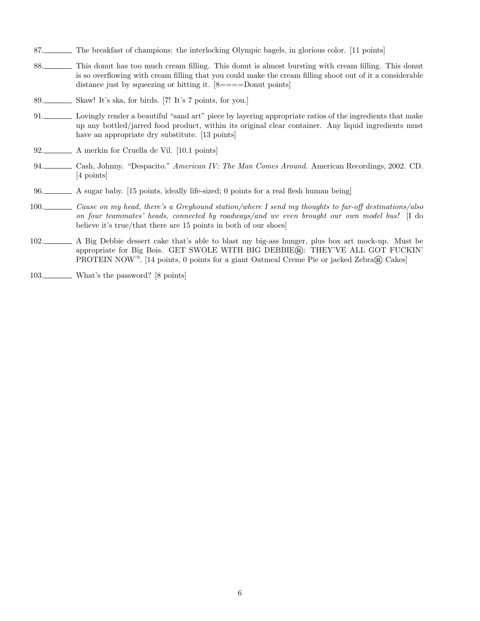- 87. The breakfast of champions: the interlocking Olympic bagels, in glorious color. [11 points]
- 88. This donut has too much cream filling. This donut is almost bursting with cream filling. This donut is so overflowing with cream filling that you could make the cream filling shoot out of it a considerable distance just by squeezing or hitting it.  $[8 == == +$ Donut points
- 89. Skaw! It's ska, for birds. [7! It's 7 points, for you.]
- 91. Lovingly render a beautiful "sand art" piece by layering appropriate ratios of the ingredients that make up any bottled/jarred food product, within its original clear container. Any liquid ingredients must have an appropriate dry substitute. [13 points]
- 92. A merkin for Cruella de Vil. [10.1 points]
- 94. Cash, Johnny. "Despacito." American IV: The Man Comes Around. American Recordings, 2002. CD. [4 points]
- 96. A sugar baby. [15 points, ideally life-sized; 0 points for a real flesh human being]
- 100. Cause on my head, there's a Greyhound station/where I send my thoughts to far-off destinations/also on four teammates' heads, connected by roadways/and we even brought our own model bus! [I do believe it's true/that there are 15 points in both of our shoes]
- 102. A Big Debbie dessert cake that's able to blast my big-ass hunger, plus box art mock-up. Must be appropriate for Big Bois. GET SWOLE WITH BIG DEBBIE®: THEY'VE ALL GOT FUCKIN' PROTEIN NOW<sup>™</sup>. [14 points, 0 points for a giant Oatmeal Creme Pie or jacked Zebra® Cakes]
- 103. What's the password? [8 points]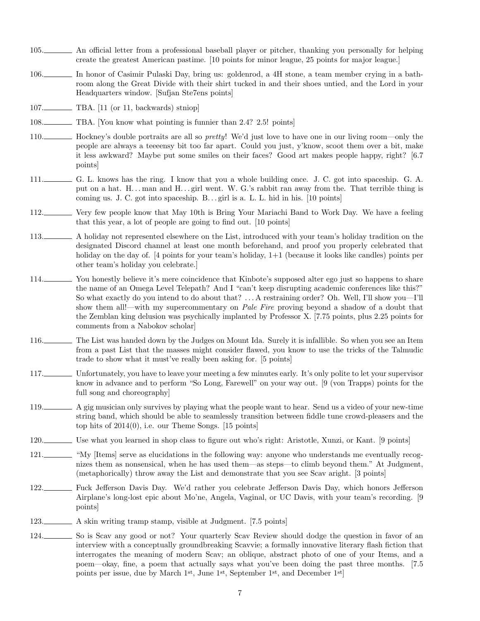- 105. An official letter from a professional baseball player or pitcher, thanking you personally for helping create the greatest American pastime. [10 points for minor league, 25 points for major league.]
- 106. In honor of Casimir Pulaski Day, bring us: goldenrod, a 4H stone, a team member crying in a bathroom along the Great Divide with their shirt tucked in and their shoes untied, and the Lord in your Headquarters window. [Sufjan Ste7ens points]
- 107. TBA. [11 (or 11, backwards) stniop]
- 108. TBA. [You know what pointing is funnier than 2.4? 2.5! points]
- 110. Hockney's double portraits are all so *pretty*! We'd just love to have one in our living room—only the people are always a teeeensy bit too far apart. Could you just, y'know, scoot them over a bit, make it less awkward? Maybe put some smiles on their faces? Good art makes people happy, right? [6.7 points]
- 111. G. L. knows has the ring. I know that you a whole building once. J. C. got into spaceship. G. A. put on a hat. H...man and H...girl went. W. G.'s rabbit ran away from the. That terrible thing is coming us. J. C. got into spaceship. B...girl is a. L. L. hid in his. [10 points]
- 112. Very few people know that May 10th is Bring Your Mariachi Band to Work Day. We have a feeling that this year, a lot of people are going to find out. [10 points]
- 113. A holiday not represented elsewhere on the List, introduced with your team's holiday tradition on the designated Discord channel at least one month beforehand, and proof you properly celebrated that holiday on the day of. [4 points for your team's holiday,  $1+1$  (because it looks like candles) points per other team's holiday you celebrate.]
- 114. You honestly believe it's mere coincidence that Kinbote's supposed alter ego just so happens to share the name of an Omega Level Telepath? And I "can't keep disrupting academic conferences like this?" So what exactly do you intend to do about that? . . . A restraining order? Oh. Well, I'll show you—I'll show them all!—with my supercommentary on *Pale Fire* proving beyond a shadow of a doubt that the Zemblan king delusion was psychically implanted by Professor X. [7.75 points, plus 2.25 points for comments from a Nabokov scholar]
- 116. The List was handed down by the Judges on Mount Ida. Surely it is infallible. So when you see an Item from a past List that the masses might consider flawed, you know to use the tricks of the Talmudic trade to show what it must've really been asking for. [5 points]
- 117. Unfortunately, you have to leave your meeting a few minutes early. It's only polite to let your supervisor know in advance and to perform "So Long, Farewell" on your way out. [9 (von Trapps) points for the full song and choreography]
- 119. A gig musician only survives by playing what the people want to hear. Send us a video of your new-time string band, which should be able to seamlessly transition between fiddle tune crowd-pleasers and the top hits of 2014(0), i.e. our Theme Songs. [15 points]
- 120. Use what you learned in shop class to figure out who's right: Aristotle, Xunzi, or Kant. [9 points]
- 121. "My [Items] serve as elucidations in the following way: anyone who understands me eventually recognizes them as nonsensical, when he has used them—as steps—to climb beyond them." At Judgment, (metaphorically) throw away the List and demonstrate that you see Scav aright. [3 points]
- 122. Fuck Jefferson Davis Day. We'd rather you celebrate Jefferson Davis Day, which honors Jefferson Airplane's long-lost epic about Mo'ne, Angela, Vaginal, or UC Davis, with your team's recording. [9 points]
- 123. A skin writing tramp stamp, visible at Judgment. [7.5 points]
- 124. So is Scav any good or not? Your quarterly Scav Review should dodge the question in favor of an interview with a conceptually groundbreaking Scavvie; a formally innovative literary flash fiction that interrogates the meaning of modern Scav; an oblique, abstract photo of one of your Items, and a poem—okay, fine, a poem that actually says what you've been doing the past three months. [7.5 points per issue, due by March 1st, June 1st, September 1st, and December 1st]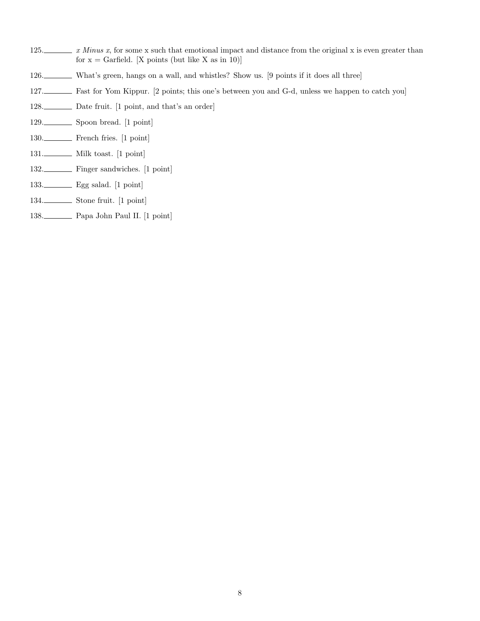- 125.  $\ldots$  *x Minus x*, for some x such that emotional impact and distance from the original x is even greater than for  $x =$  Garfield. [X points (but like X as in 10)]
- 126. What's green, hangs on a wall, and whistles? Show us. [9 points if it does all three]
- 127. Fast for Yom Kippur. [2 points; this one's between you and G-d, unless we happen to catch you]
- 128. Date fruit. [1 point, and that's an order]
- 129. Spoon bread. [1 point]
- 130. French fries. [1 point]
- 131. Milk toast. [1 point]
- 132. Finger sandwiches. [1 point]
- 133. Egg salad. [1 point]
- 134. Stone fruit. [1 point]
- 138. Papa John Paul II. [1 point]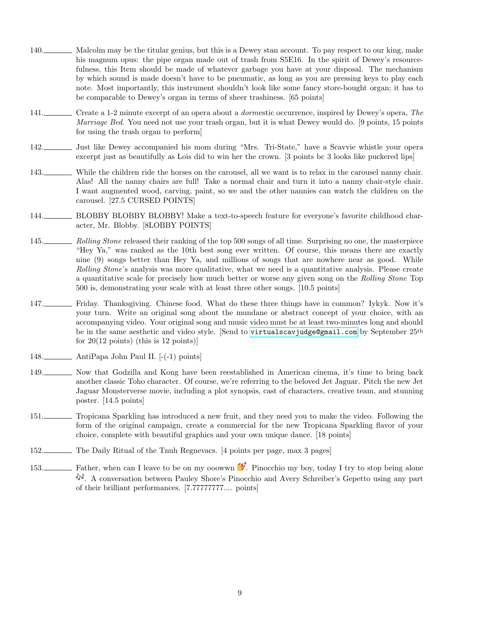- 140. Malcolm may be the titular genius, but this is a Dewey stan account. To pay respect to our king, make his magnum opus: the pipe organ made out of trash from S5E16. In the spirit of Dewey's resourcefulness, this Item should be made of whatever garbage you have at your disposal. The mechanism by which sound is made doesn't have to be pneumatic, as long as you are pressing keys to play each note. Most importantly, this instrument shouldn't look like some fancy store-bought organ; it has to be comparable to Dewey's organ in terms of sheer trashiness. [65 points]
- 141. Create a 1-2 minute excerpt of an opera about a *dormestic* occurrence, inspired by Dewey's opera, The Marriage Bed. You need not use your trash organ, but it is what Dewey would do. [9 points, 15 points for using the trash organ to perform]
- 142. Just like Dewey accompanied his mom during "Mrs. Tri-State," have a Scavvie whistle your opera excerpt just as beautifully as Lois did to win her the crown. [3 points bc 3 looks like puckered lips]
- 143. While the children ride the horses on the carousel, all we want is to relax in the carousel nanny chair. Alas! All the nanny chairs are full! Take a normal chair and turn it into a nanny chair-style chair. I want augmented wood, carving, paint, so we and the other nannies can watch the children on the carousel. [27.5 CURSED POINTS]
- 144. BLOBBY BLOBBY BLOBBY! Make a text-to-speech feature for everyone's favorite childhood character, Mr. Blobby. [8LOBBY POINTS]
- 145. Rolling Stone released their ranking of the top 500 songs of all time. Surprising no one, the masterpiece "Hey Ya," was ranked as the 10th best song ever written. Of course, this means there are exactly nine (9) songs better than Hey Ya, and millions of songs that are nowhere near as good. While Rolling Stone's analysis was more qualitative, what we need is a quantitative analysis. Please create a quantitative scale for precisely how much better or worse any given song on the Rolling Stone Top 500 is, demonstrating your scale with at least three other songs. [10.5 points]
- 147. Friday. Thanksgiving. Chinese food. What do these three things have in common? Iykyk. Now it's your turn. Write an original song about the mundane or abstract concept of your choice, with an accompanying video. Your original song and music video must be at least two-minutes long and should be in the same aesthetic and video style. [Send to <virtualscavjudge@gmail.com> by September 25<sup>th</sup> for  $20(12 \text{ points})$  (this is 12 points)]
- 148. AntiPapa John Paul II. [-(-1) points]
- 149. Now that Godzilla and Kong have been reestablished in American cinema, it's time to bring back another classic Toho character. Of course, we're referring to the beloved Jet Jaguar. Pitch the new Jet Jaguar Monsterverse movie, including a plot synopsis, cast of characters, creative team, and stunning poster. [14.5 points]
- 151. Tropicana Sparkling has introduced a new fruit, and they need you to make the video. Following the form of the original campaign, create a commercial for the new Tropicana Sparkling flavor of your choice, complete with beautiful graphics and your own unique dance. [18 points]
- 152. The Daily Ritual of the Tnuh Regnevacs. [4 points per page, max 3 pages]
- 153. Father, when can I leave to be on my ooowwn  $\mathscr{V}$ . Pinocchio my boy, today I try to stop being alone . A conversation between Pauley Shore's Pinocchio and Avery Schreiber's Gepetto using any part of their brilliant performances. [7.77777777.... points]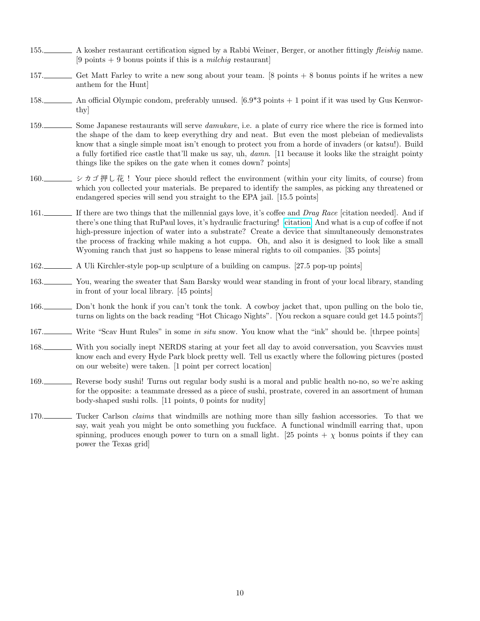- 155. A kosher restaurant certification signed by a Rabbi Weiner, Berger, or another fittingly *fleishig* name. [9 points  $+$  9 bonus points if this is a *milchig* restaurant]
- 157. Get Matt Farley to write a new song about your team. [8 points + 8 bonus points if he writes a new anthem for the Hunt]
- 158. An official Olympic condom, preferably unused. [6.9\*3 points + 1 point if it was used by Gus Kenworthy]
- 159. Some Japanese restaurants will serve *damukare*, i.e. a plate of curry rice where the rice is formed into the shape of the dam to keep everything dry and neat. But even the most plebeian of medievalists know that a single simple moat isn't enough to protect you from a horde of invaders (or katsu!). Build a fully fortified rice castle that'll make us say, uh, damn. [11 because it looks like the straight pointy things like the spikes on the gate when it comes down? points]
- 160.  $\Box$  > カゴ押し花 ! Your piece should reflect the environment (within your city limits, of course) from which you collected your materials. Be prepared to identify the samples, as picking any threatened or endangered species will send you straight to the EPA jail. [15.5 points]
- 161. If there are two things that the millennial gays love, it's coffee and *Drag Race* [citation needed]. And if there's one thing that RuPaul loves, it's hydraulic fracturing! [\[citation\]](https://www.independent.co.uk/climate-change/news/ru-paul-fracking-ranch-drag-race-environment-a9407461.html) And what is a cup of coffee if not high-pressure injection of water into a substrate? Create a device that simultaneously demonstrates the process of fracking while making a hot cuppa. Oh, and also it is designed to look like a small Wyoming ranch that just so happens to lease mineral rights to oil companies. [35 points]
- 162. A Uli Kirchler-style pop-up sculpture of a building on campus. [27.5 pop-up points]
- 163. You, wearing the sweater that Sam Barsky would wear standing in front of your local library, standing in front of your local library. [45 points]
- 166. Don't honk the honk if you can't tonk the tonk. A cowboy jacket that, upon pulling on the bolo tie, turns on lights on the back reading "Hot Chicago Nights". [You reckon a square could get 14.5 points?]
- 167. Write "Scav Hunt Rules" in some in situ snow. You know what the "ink" should be. [thrpee points]
- 168. With you socially inept NERDS staring at your feet all day to avoid conversation, you Scavvies must know each and every Hyde Park block pretty well. Tell us exactly where the following pictures (posted on our website) were taken. [1 point per correct location]
- 169. Reverse body sushi! Turns out regular body sushi is a moral and public health no-no, so we're asking for the opposite: a teammate dressed as a piece of sushi, prostrate, covered in an assortment of human body-shaped sushi rolls. [11 points, 0 points for nudity]
- 170. Tucker Carlson *claims* that windmills are nothing more than silly fashion accessories. To that we say, wait yeah you might be onto something you fuckface. A functional windmill earring that, upon spinning, produces enough power to turn on a small light. [25 points +  $\chi$  bonus points if they can power the Texas grid]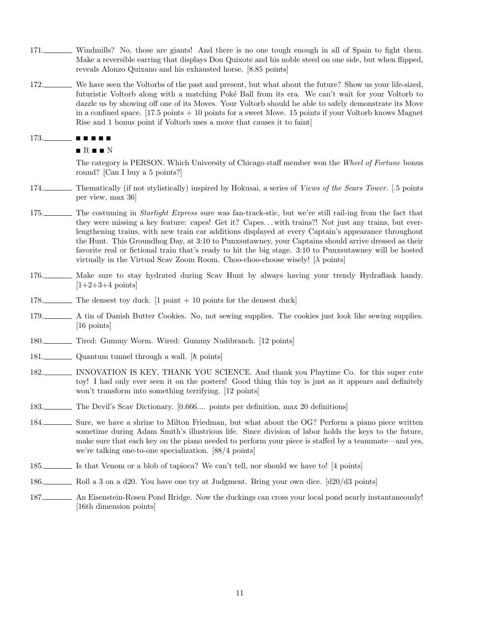- 171. Windmills? No, those are giants! And there is no one tough enough in all of Spain to fight them. Make a reversible earring that displays Don Quixote and his noble steed on one side, but when flipped, reveals Alonzo Quixano and his exhausted horse. [8.85 points]
- 172. We have seen the Voltorbs of the past and present, but what about the future? Show us your life-sized, futuristic Voltorb along with a matching Poké Ball from its era. We can't wait for your Voltorb to dazzle us by showing off one of its Moves. Your Voltorb should be able to safely demonstrate its Move in a confined space. [17.5 points + 10 points for a sweet Move. 15 points if your Voltorb knows Magnet Rise and 1 bonus point if Voltorb uses a move that causes it to faint]

### 173. ∎ ∎ ∎ ∎ ∎

#### ∎ R ∎ ∎ N

The category is PERSON. Which University of Chicago staff member won the Wheel of Fortune bonus round? [Can I buy a 5 points?]

- 174. Thematically (if not stylistically) inspired by Hokusai, a series of *Views of the Sears Tower*. [.5 points per view, max 36]
- 175. The costuming in *Starlight Express* sure was fan-track-stic, but we're still rail-ing from the fact that they were missing a key feature: capes! Get it? Capes. . . with trains?! Not just any trains, but everlengthening trains, with new train car additions displayed at every Captain's appearance throughout the Hunt. This Groundhog Day, at 3:10 to Punxsutawney, your Captains should arrive dressed as their favorite real or fictional train that's ready to hit the big stage. 3:10 to Punxsutawney will be hosted virtually in the Virtual Scav Zoom Room. Choo-choo-choose wisely!  $[\lambda]$  points]
- 176. Make sure to stay hydrated during Scav Hunt by always having your trendy Hydraflask handy.  $[1+2+3+4 \text{ points}]$
- 178. The densest toy duck. [1 point + 10 points for the densest duck]
- 179. A tin of Danish Butter Cookies. No, not sewing supplies. The cookies just look like sewing supplies. [16 points]
- 180. Tired: Gummy Worm. Wired: Gummy Nudibranch. [12 points]
- 181. Quantum tunnel through a wall. [h points]
- 182. INNOVATION IS KEY, THANK YOU SCIENCE. And thank you Playtime Co. for this super cute toy! I had only ever seen it on the posters! Good thing this toy is just as it appears and definitely won't transform into something terrifying. [12 points]
- 183. The Devil's Scav Dictionary. [0.666.... points per definition, max 20 definitions]
- 184. Sure, we have a shrine to Milton Friedman, but what about the OG? Perform a piano piece written sometime during Adam Smith's illustrious life. Since division of labor holds the keys to the future, make sure that each key on the piano needed to perform your piece is staffed by a teammate—and yes, we're talking one-to-one specialization. [88/4 points]
- 185. Is that Venom or a blob of tapioca? We can't tell, nor should we have to! [4 points]
- 186. Roll a 3 on a d20. You have one try at Judgment. Bring your own dice. [d20/d3 points]
- 187. An Eisenstein-Rosen Pond Bridge. Now the duckings can cross your local pond nearly instantaneously! [16th dimension points]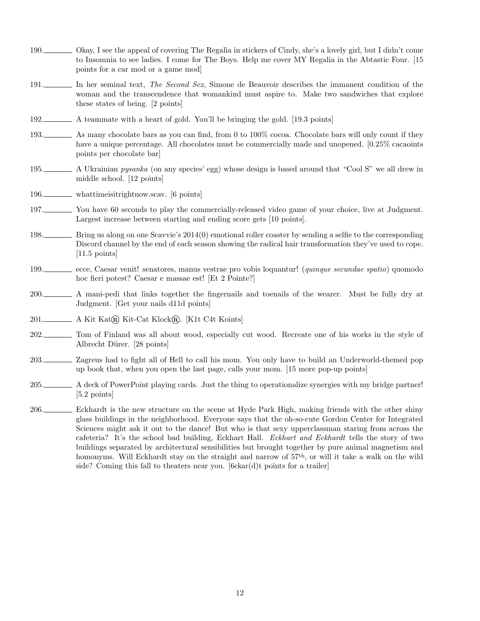- 190. Okay, I see the appeal of covering The Regalia in stickers of Cindy, she's a lovely girl, but I didn't come to Insomnia to see ladies. I come for The Boys. Help me cover MY Regalia in the Abtastic Four. [15 points for a car mod or a game mod]
- 191. In her seminal text, The Second Sex, Simone de Beauvoir describes the immanent condition of the woman and the transcendence that womankind must aspire to. Make two sandwiches that explore these states of being. [2 points]
- 192. A teammate with a heart of gold. You'll be bringing the gold. [19.3 points]
- 193. As many chocolate bars as you can find, from 0 to 100% cocoa. Chocolate bars will only count if they have a unique percentage. All chocolates must be commercially made and unopened. [0.25% cacaoints points per chocolate bar]
- 195. A Ukrainian *pysanka* (on any species' egg) whose design is based around that "Cool S" we all drew in middle school. [12 points]
- 196. whattimeisitrightnow.scav. [6 points]
- 197. You have 60 seconds to play the commercially-released video game of your choice, live at Judgment. Largest increase between starting and ending score gets [10 points].
- 198. Bring us along on one Scavvie's 2014(0) emotional roller coaster by sending a selfie to the corresponding Discord channel by the end of each season showing the radical hair transformation they've used to cope. [11.5 points]
- 199. ecce, Caesar venit! senatores, manus vestrae pro vobis loquantur! (quinque secundae spatio) quomodo hoc fieri potest? Caesar e massae est! [Et 2 Pointe?]
- 200. A mani-pedi that links together the fingernails and toenails of the wearer. Must be fully dry at Judgment. [Get your nails d11d points]
- 201. A Kit Kat $\widehat{R}$  Kit-Cat Klock $\widehat{R}$ . [K1t C4t Koints]
- 202. Tom of Finland was all about wood, especially cut wood. Recreate one of his works in the style of Albrecht Dürer. [28 points]
- 203. Zagreus had to fight all of Hell to call his mom. You only have to build an Underworld-themed pop up book that, when you open the last page, calls your mom. [15 more pop-up points]
- 205. A deck of PowerPoint playing cards. Just the thing to operationalize synergies with my bridge partner! [5.2 points]
- 206. Eckhardt is the new structure on the scene at Hyde Park High, making friends with the other shiny glass buildings in the neighborhood. Everyone says that the oh-so-cute Gordon Center for Integrated Sciences might ask it out to the dance! But who is that sexy upperclassman staring from across the cafeteria? It's the school bad building, Eckhart Hall. Eckhart and Eckhardt tells the story of two buildings separated by architectural sensibilities but brought together by pure animal magnetism and homonyms. Will Eckhardt stay on the straight and narrow of 57th, or will it take a walk on the wild side? Coming this fall to theaters near you. [6ckar(d)t points for a trailer]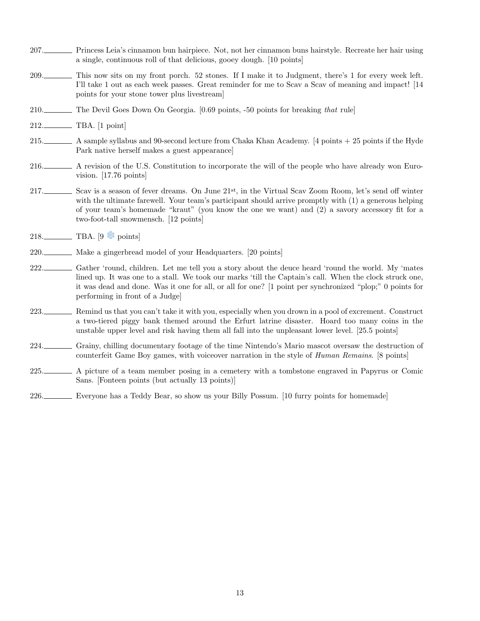- 207. Princess Leia's cinnamon bun hairpiece. Not, not her cinnamon buns hairstyle. Recreate her hair using a single, continuous roll of that delicious, gooey dough. [10 points]
- 209. This now sits on my front porch. 52 stones. If I make it to Judgment, there's 1 for every week left. I'll take 1 out as each week passes. Great reminder for me to Scav a Scav of meaning and impact! [14 points for your stone tower plus livestream]
- 210. The Devil Goes Down On Georgia. [0.69 points, -50 points for breaking that rule]
- 212. TBA. [1 point]
- 215. A sample syllabus and 90-second lecture from Chaka Khan Academy. [4 points + 25 points if the Hyde Park native herself makes a guest appearance]
- 216. A revision of the U.S. Constitution to incorporate the will of the people who have already won Eurovision. [17.76 points]
- 217. Scav is a season of fever dreams. On June 21st, in the Virtual Scav Zoom Room, let's send off winter with the ultimate farewell. Your team's participant should arrive promptly with  $(1)$  a generous helping of your team's homemade "kraut" (you know the one we want) and (2) a savory accessory fit for a two-foot-tall snowmensch. [12 points]
- $218.$  TBA. [9  $\bullet$  points]
- 220. Make a gingerbread model of your Headquarters. [20 points]
- 222. Gather 'round, children. Let me tell you a story about the deuce heard 'round the world. My 'mates lined up. It was one to a stall. We took our marks 'till the Captain's call. When the clock struck one, it was dead and done. Was it one for all, or all for one? [1 point per synchronized "plop;" 0 points for performing in front of a Judge]
- 223. Remind us that you can't take it with you, especially when you drown in a pool of excrement. Construct a two-tiered piggy bank themed around the Erfurt latrine disaster. Hoard too many coins in the unstable upper level and risk having them all fall into the unpleasant lower level. [25.5 points]
- 224. Grainy, chilling documentary footage of the time Nintendo's Mario mascot oversaw the destruction of counterfeit Game Boy games, with voiceover narration in the style of Human Remains. [8 points]
- 225. A picture of a team member posing in a cemetery with a tombstone engraved in Papyrus or Comic Sans. [Fonteen points (but actually 13 points)]
- 226. Everyone has a Teddy Bear, so show us your Billy Possum. [10 furry points for homemade]